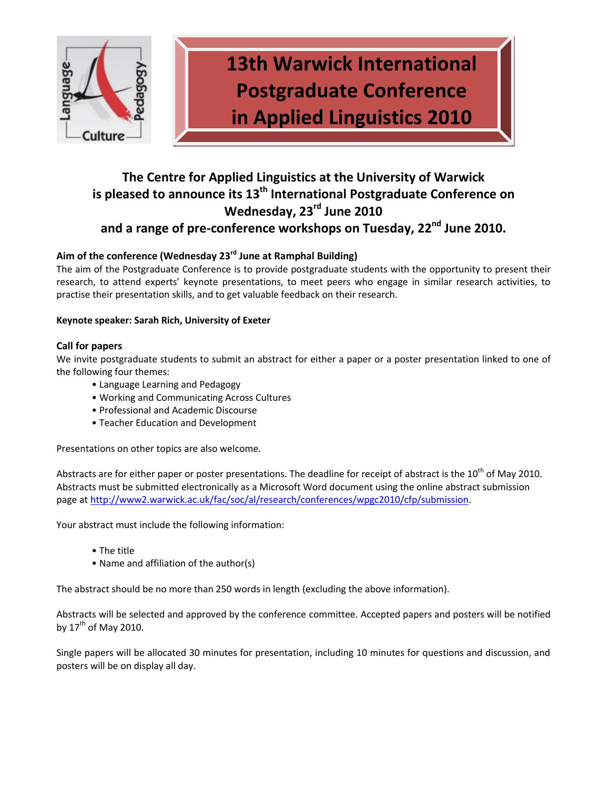

**13th Warwick International Postgraduate Conference in Applied Linguistics 2010**

## **The Centre for Applied Linguistics at the University of Warwick is pleased to announce its 13th International Postgraduate Conference on Wednesday, 23rd June 2010 and a range of pre-conference workshops on Tuesday, 22nd June 2010.**

## **Aim of the conference (Wednesday 23rd June at Ramphal Building)**

The aim of the Postgraduate Conference is to provide postgraduate students with the opportunity to present their research, to attend experts' keynote presentations, to meet peers who engage in similar research activities, to practise their presentation skills, and to get valuable feedback on their research.

## **Keynote speaker: Sarah Rich, University of Exeter**

#### **Call for papers**

We invite postgraduate students to submit an abstract for either a paper or a poster presentation linked to one of the following four themes:

- Language Learning and Pedagogy
- Working and Communicating Across Cultures
- Professional and Academic Discourse
- Teacher Education and Development

Presentations on other topics are also welcome.

Abstracts are for either paper or poster presentations. The deadline for receipt of abstract is the 10<sup>th</sup> of May 2010. Abstracts must be submitted electronically as a Microsoft Word document using the online abstract submission page at [http://www2.warwick.ac.uk/fac/soc/al/research/conferences/wpgc2010/cfp/submission.](http://www2.warwick.ac.uk/fac/soc/al/research/conferences/wpgc2010/cfp/submission)

Your abstract must include the following information:

- The title
- Name and affiliation of the author(s)

The abstract should be no more than 250 words in length (excluding the above information).

Abstracts will be selected and approved by the conference committee. Accepted papers and posters will be notified by  $17<sup>th</sup>$  of May 2010.

Single papers will be allocated 30 minutes for presentation, including 10 minutes for questions and discussion, and posters will be on display all day.